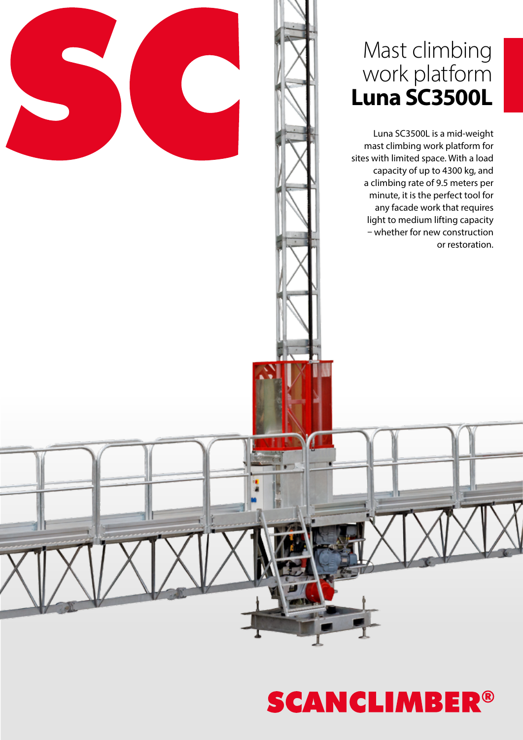### Mast climbing work platform **Luna SC3500L**

Luna SC3500L is a mid-weight mast climbing work platform for sites with limited space. With a load capacity of up to 4300 kg, and a climbing rate of 9.5 meters per minute, it is the perfect tool for any facade work that requires light to medium lifting capacity – whether for new construction or restoration.

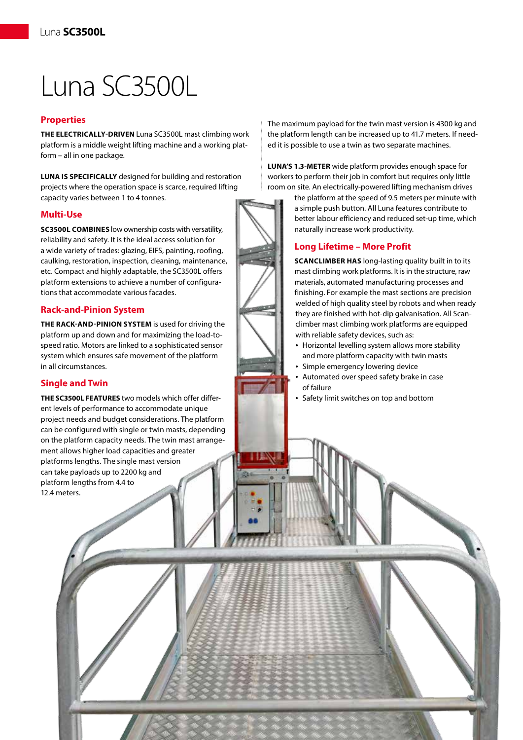# Luna SC3500L

#### **Properties**

**THE ELECTRICALLY-DRIVEN** Luna SC3500L mast climbing work platform is a middle weight lifting machine and a working platform – all in one package.

**LUNA IS SPECIFICALLY** designed for building and restoration projects where the operation space is scarce, required lifting capacity varies between 1 to 4 tonnes.

#### **Multi-Use**

**SC3500L COMBINES** low ownership costs with versatility, reliability and safety. It is the ideal access solution for a wide variety of trades: glazing, EIFS, painting, roofing, caulking, restoration, inspection, cleaning, maintenance, etc. Compact and highly adaptable, the SC3500L offers platform extensions to achieve a number of configurations that accommodate various facades.

#### **Rack-and-Pinion System**

**THE RACK-AND-PINION SYSTEM** is used for driving the platform up and down and for maximizing the load-tospeed ratio. Motors are linked to a sophisticated sensor system which ensures safe movement of the platform in all circumstances.

#### **Single and Twin**

**THE SC3500L FEATURES** two models which offer different levels of performance to accommodate unique project needs and budget considerations. The platform can be configured with single or twin masts, depending on the platform capacity needs. The twin mast arrangement allows higher load capacities and greater platforms lengths. The single mast version can take payloads up to 2200 kg and platform lengths from 4.4 to 12.4 meters.

The maximum payload for the twin mast version is 4300 kg and the platform length can be increased up to 41.7 meters. If needed it is possible to use a twin as two separate machines.

**LUNA'S 1.3-METER** wide platform provides enough space for workers to perform their job in comfort but requires only little room on site. An electrically-powered lifting mechanism drives

> the platform at the speed of 9.5 meters per minute with a simple push button. All Luna features contribute to better labour efficiency and reduced set-up time, which naturally increase work productivity.

#### **Long Lifetime – More Profit**

**SCANCLIMBER HAS** long-lasting quality built in to its mast climbing work platforms. It is in the structure, raw materials, automated manufacturing processes and finishing. For example the mast sections are precision welded of high quality steel by robots and when ready they are finished with hot-dip galvanisation. All Scanclimber mast climbing work platforms are equipped with reliable safety devices, such as:

- Horizontal levelling system allows more stability and more platform capacity with twin masts
- Simple emergency lowering device
- Automated over speed safety brake in case of failure
- Safety limit switches on top and bottom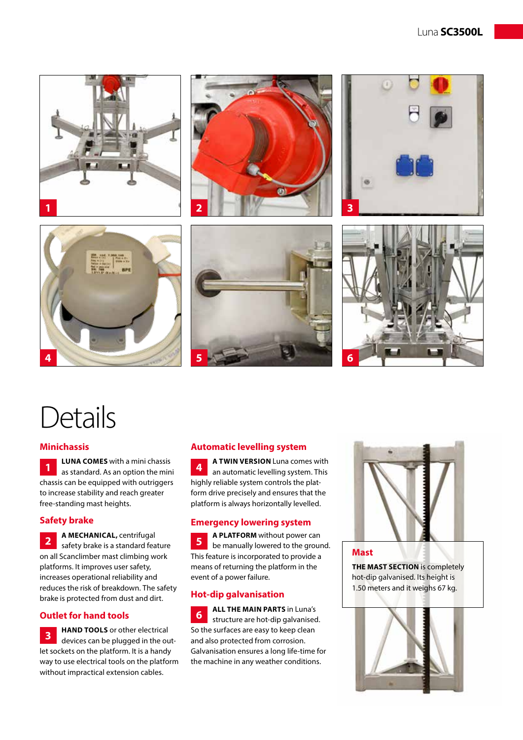

## **Details**

#### **Minichassis**

**LUNA COMES** with a mini chassis as standard. As an option the mini chassis can be equipped with outriggers to increase stability and reach greater free-standing mast heights. **1**

#### **Safety brake**

**A MECHANICAL,** centrifugal safety brake is a standard feature on all Scanclimber mast climbing work platforms. It improves user safety, increases operational reliability and reduces the risk of breakdown. The safety brake is protected from dust and dirt. **2**

#### **Outlet for hand tools**

**HAND TOOLS** or other electrical devices can be plugged in the outlet sockets on the platform. It is a handy way to use electrical tools on the platform without impractical extension cables. **3**

#### **Automatic levelling system**

**A TWIN VERSION** Luna comes with an automatic levelling system. This highly reliable system controls the platform drive precisely and ensures that the platform is always horizontally levelled. **4**

#### **Emergency lowering system**

**A PLATFORM** without power can be manually lowered to the ground. This feature is incorporated to provide a means of returning the platform in the event of a power failure. **5**

#### **Hot-dip galvanisation**

**ALL THE MAIN PARTS** in Luna's structure are hot-dip galvanised. So the surfaces are easy to keep clean and also protected from corrosion. Galvanisation ensures a long life-time for the machine in any weather conditions. **6**



**Mast**

**THE MAST SECTION** is completely hot-dip galvanised. Its height is 1.50 meters and it weighs 67 kg.